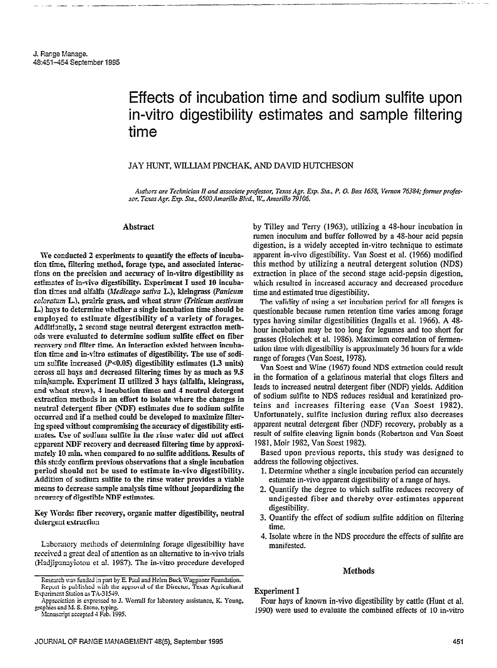# Effects of incubation time and sodium sulfite upon in-vitro digestibility estimates and sample filtering time

-.- .:-\*- - -- -- .-- -\_\_I

# JAY HUNT, WILLIAM PINCHAK, AND DAVID HUTCHESON

Authors are Technician II and associate professor, Texas Agr. Exp. Sta., P. O. Box 1658, Vernon 76384; former professor, Texas Agr. Exp. Sta., 6500 Amarillo Blvd., W., Amarillo 79106.

#### Abstract

We conducted 2 experiments to quantify the effects of incubation time, filtering method, forage type, and associated interactions on the precision and accuracy of in-vitro digestibility as estimates of in-vivo digestibility. Experiment I used 10 incubation times and alfalfa (Medicago sativa L.), kleingrass (Panicum  $colorum$  L.), prairie grass, and wheat straw (Triticum aestivum L.) hays to determine whether a single incubation time shouId be employed to estimate digestibility of a variety of forages. Additionally, 2 second stage neutral detergent extraction methods were evaluated to determine sodium sulfite effect on fiber recovery and filter time. An interaction existed between incubation time and in-vitro estimates of digestibility. The use of sodium sulfite increased  $(P<0.05)$  digestibility estimates (1.3 units) across alI hays and decreased filtering times by as much as 9.5 min]sampk. Esperiment II utilized 3 hays (alfalfa, kleingrass, and wheat straw), 4 incubation times and 4 neutral detergent extraction methods in an effort to isolate where the changes in neutral detergent fiber (NDF) estimates due to sodium sulfite occurred and if a method could be developed to maximize filtering speed nithout compromising the accuracy of digestibility estimates. Use of sodium sulfite in the rinse mater did not affect apparent NDF recovery and decreased filtering time by approximately 10 min. when compared to no sulfite additions. Results of this stndy confirm previous observations that a single incubation period should not be used to estimate in-vivo digestibility. Addition of sodium sulfite to the rinse water provides a viable means to decrease sample anaIysis time without jeopardizing the accuracy of digestible NDF estimates.

Key Wurds: fiber recovery, organic matter digestibility, neutral detergent extraction

Laboratory methods of determining forage digestibility have received a great deal of attention as an alternative to in-vivo trials (Hadiipanayiotou et al. 1987). The in-vitro procedure developed

by Tilley and Terry (1963), utilizing a 48-hour incubation in rumen inoculum and buffer followed by a 48-hour acid pepsin digestion, is a widely accepted in-vitro technique to estimate apparent in-vivo digestibility. Van Soest et al. (1966) modified this method by utilizing a neutral detergent solution (NDS) extraction in place of the second stage acid-pepsin digestion, which resulted in increased accuracy and decreased procedure time and estimated true digestibility.

The validity of using a set incubation period for all forages is questionable because rumen retention time varies among forage types having similar digestibilities (Ingalls et al. 1966). A 4% hour incubation may be too long for legumes and too short for grasses (Holechek et al. 1986). Maximum correlation of fermentation time with digestibility is approximately 36 hours for a wide range of forages (Van Soest, 1978).

Van Soest and Wine (1967) found NDS extraction could result in the formation of a gelatinous material that clogs filters and leads to increased neutral detergent fiber (NDF) yields. Addition of sodium sulfite to NDS reduces residual and keratinized proteins and increases filtering ease (Van Soest 1982). Unfortunately, sulfite inclusion during reflux also decreases apparent neutral detergent fiber (NDF) recovery, probably as a result of sulfite cleaving lignin bonds (Robertson and Van Soest 1981, Moir 1982, Van Soest 1982).

Based upon previous reports, this study was designed to address the following objectives.

- 1. Determine whether a single incubation period can accurately estimate in-vivo apparent digestibility of a range of hays.
- 2. Quantify the degree to which sulfite reduces recovery of undigested fiber and thereby over-estimates apparent digestibility.
- 3. Quantify the effect of sodium sulfite addition on filtering time.
- 4. Isolate where in the NDS procedure the effects of sulfite are manifested.

#### Methods

### Experiment I

Four hays of known in-vivo digestibility by cattle (Hunt et al. 1990) were used to evaluate the combined effects of 10 in-vitro

Research was funded in part by E. Paul and Helen Buck Waggoner Foundation. Repon is pnblished wirh the approval of Ihe Director, Texas Agricultural Experiment Station as T&31549.

Appreciation is expressed to J. Worrall for laboratory assistance, K. Young, ,gmphics and M. S. Stone, typing. Manuscript accepted 4 Feb. 1995.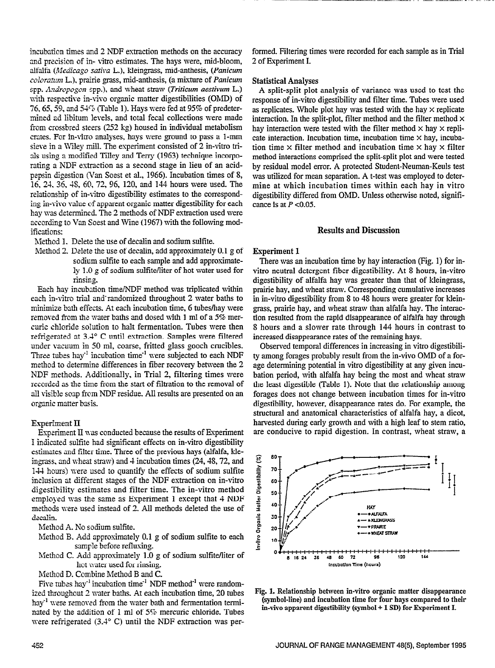incubation times and 2 NDF extraction methods on the accuracy and precision of in- vitro estimates. The hays were, mid-bloom, alfalfa (Medicago sativa L.), kleingrass, mid-anthesis, (Panicum  $coloratum$  L.), prairie grass, mid-anthesis, (a mixture of *Panicum* spp. Andropogon spp.), and wheat straw (Triticum aestivum L.) with respective in-vivo organic matter digestibilities (OMD) of 76, 65, 59, and  $54\%$  (Table 1). Hays were fed at 95% of predetermined ad libitum levels, and total fecal collections were made from crossbred steers (252 kg) housed in individual metabolism crates. For in-vitro analyses, hays were ground to pass a l-mm sieve in a Wiley mill. The experiment consisted of 2 in-vitro tridls using a modified Tilley and Terry (1963) technique incorporating a NDF extraction as a second stage in lieu of an acidpepsin digestion (Van Soest et al., 1966). Incubation times of S, 16, 2-I. 36, 43, 60, 72, 96, 120, and 144 hours were used. The relationship of in-vitro digestibility estimates to the corresponding in-viva value of apparent organic matter digestibility for each hay was determined. The 2 methods of NDF extraction used were according to Van Soest and Wine (1967) with the following modifications:

Method 1. Delete the use of decalin and sodium sulfite.

Method 2. Delete the use of decalin, add approximately 0.1 g of sodium sulfite to each sample and add approximately 1.0 g of sodium sulfite/liter of hot water used for rinsing.

Each hay incubation time/NDF method was triplicated within each in-vitro trial and randomized throughout 2 water baths to minimize bath effects. At each incubation time, 6 tubeslhay were removed from the water baths and dosed with 1 ml of a 5% mercuric chloride solution to halt fermentation. Tubes were then refrigerated at 3.4" C until extraction. Samples were filtered under vacuum in 50 ml, coarse, fiitted glass gooch crucibles. Three tubes hay<sup>-1</sup> incubation time<sup>-1</sup> were subjected to each NDF method to determine differences in fiber recovery between the 2 NDF methods. Additionally, in Trial 2, filtering times were recorded as the time from the start of filtration to the removal of dill visible soap from NDF residue. All results are presented on au organic matter basis.

## Experiment II

Experiment II was conducted because the results of Experiment I indicated sulfite had significant effects on in-vitro digestibility estimates and filter time. Three of the previous hays (alfalfa, kleingrass, and wheat straw) and  $4$  incubation times (24, 48, 72, and 144 hours) were used to quantify the effects of sodium sulfite inclusion at different stages of the NDF extraction on in-vitro digestibility estimates and filter time. The in-vitro method employed was the same as Experiment 1 except that 4 NDF methods were used instead of 2. All methods deleted the use of decalin.

- Method A. No sodium sulfite.
- Method B. Add approsimately 0.1 g of sodium sulfite to each sample before reflusing.
- Method C. Add approximately 1.0 g of sodium sulfite/liter of hot water used for rinsing.
- Method D. Combine Method B and C.

Five tubes hay<sup>-1</sup> incubation time<sup>-1</sup> NDF method<sup>-1</sup> were randomized throughout 2 water baths. At each incubation time, 20 tubes hay<sup>-1</sup> were removed from the water bath and fermentation terminated by the addition of 1 ml of 5% mercuric chloride. Tubes were refrigerated (3.4° C) until the NDF extraction was per-

formed. Filtering times were recorded for each sample as in Trial 2 of Experiment I.

## Statistical Analyses

A split-split plot analysis of variance was used to test the response of in-vitro digestibility and filter time. Tubes were used as replicates. Whole plot hay was tested with the hay  $\times$  replicate interaction. In the split-plot, filter method and the filter method  $\times$ hay interaction were tested with the filter method  $\times$  hay  $\times$  replicate interaction. Incubation time, incubation time  $\times$  hay, incubation time  $\times$  filter method and incubation time  $\times$  hay  $\times$  filter method interactions comprised the split-split plot and were tested by residual model error. A protected Student-Neuman-Keuls test was utilized for mean separation. A t-test was employed to determine at which incubation times within each hay in vitro digestibility differed from OMD. Unless otherwise noted, significance is at  $P < 0.05$ .

## Results and Discussion

#### Esperiment 1

There was an incubation time by hay interaction (Fig. 1) for invitro neutral detergent fiber digestibility. At 8 hours, in-vitro digestibility of alfalfa hay was greater than that of kleingrass, prairie hay, and wheat straw. Corresponding cumulative increases in in-vitro digestibility from 8 to 48 hours were greater for klein grass, prairie hay, and wheat straw than alfalfa hay. The interaction resulted from the rapid disappearance of alfalfa hay through 8 hours and a slower rate through 144 hours in contrast to increased disappearance rates of the remaining hays.

Observed temporal differences in increasing in vitro digestibility among forages probably result from the in-vivo OMD of a forage determining potential in vitro digestibility at any given incubation period, with alfalfa hay being the most and wheat straw the least digestible (Table 1). Note that the relationship among forages does not change between incubation times for in-vitro digestibility, however, disappearance rates do. For example, the structural and anatomical characteristics of alfalfa hay, a dicot, harvested during early growth and with a high leaf to stem ratio, are conducive to rapid digestion. In contrast, wheat straw, a



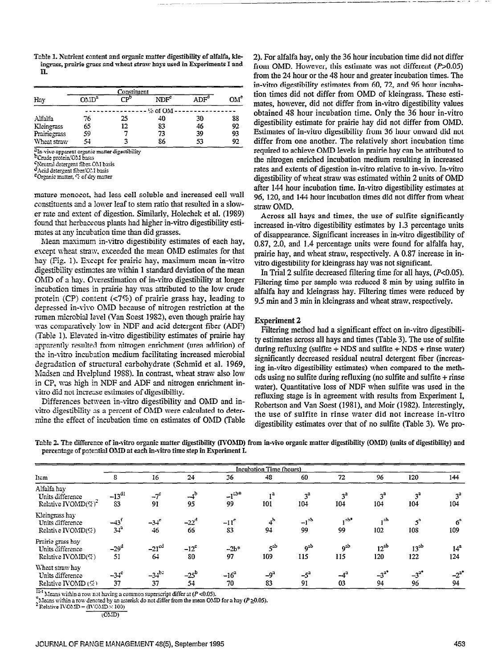Table 1. Nutrient content and organic matter digestibility of alfalfa, kleingrass, prairie grass and wheat straw hays used in Experiments I and  $\Pi$ .

| Constituent  |                  |     |                  |     |     |  |
|--------------|------------------|-----|------------------|-----|-----|--|
| Hay          | OMD <sup>a</sup> | r⊅° | NDF <sup>c</sup> | ADF | OM° |  |
|              |                  |     | % of OM          |     |     |  |
| Alfalfa      | 76               | 25  | 40               | 30  | 88  |  |
| Kleingrass   | 65               | 12  | 83               | 46  | 92  |  |
| Prairiegrass | 59               |     | 73               | 39  | 93  |  |
| Wheat straw  | 54               |     | 86               | 53  | 92  |  |

2In-vivo apparent organic matter digestibility

<sup>b</sup>Crude protein/OM basis

Neutral detergent fiber OM basis

Acid detergent fiber/O.1 basis<br>
EOrganic matter, "c of dry matter"

mature monocot, had less cell soluble and increased cell wall constituents and a lower leaf to stem ratio that resulted in a slower rate and extent of digestion. Similarly, Holechek et al. (1989) found that herbaceous plants had higher in-vitro digestibility estimates at any incubation time than did grasses.

Mean maximum in-vitro digestibility estimates of each hay, except wheat straw, exceeded the mean OMD estimates for that hay (Fig. 1). Except for prairie hay, maximum mean in-vitro digestibility estimates are within 1 standard deviation of the mean OMD of a hay. Overestimation of in-vitro digestibility at longer incubation times in prairie hay was attributed to the low crude protein (CP) content  $\langle \langle 7\% \rangle$  of prairie grass hay, leading to depressed in-vivo OMD because of nitrogen restriction at the rumen microbial level (Van Soest 1982), even though prairie hay was comparatively low in NDF and acid detergent fiber (ADF) (Table 1). Elevated in-vitro digestibility estimates of prairie hay apparently resulted from nitrogen enrichment (urea addition) of the in-vitro incubation medium facilitating increased microbial degradation of structural carbohydrate (Schmid et al. 1969, Madsen and Hvelplund 1988). In contrast, wheat straw also low in CP, was high in NDF and ADF and nitrogen enrichment invitro did not increase estimates of digestibility.

Differences between in-vitro digestibility and OMD and invitro digestibility as a percent of OMD were calculated to determine the effect of incubation time on estimates of OMD (Table

2). For alfalfa hay, only the 36 hour incubation time did not differ from OMD. However, this estimate was not different  $(P>0.05)$ from the 24 hour or the 48 hour and greater incubation times. The in-vitro digestibility estimates from 60, 72, and 96 hour incubation times did not differ from OMD of kleingrass. These estimates, however, did not differ from in-vitro digestibility values obtained 48 hour incubation time. Only the 36 hour in-vitro digestibility estimate for prairie hay did not differ from OMD. Estimates of in-vitro digestibility from 36 hour onward did not differ from one another. The relatively short incubation time required to achieve OMD levels in prairie hay can be attributed to the nitrogen enriched incubation medium resulting in increased rates and extents of digestion in-vitro relative to in-vivo. In-vitro digestibility of wheat straw was estimated within 2 units of OMD after 144 hour incubation time. In-vitro digestibility estimates at 96, 120, and 144 hour incubation times did not differ from wheat straw OMD.

Across all hays and times, the use of sulfite significantly increased in-vitro digestibility estimates by 1.3 percentage units of disappearance. Significant increases in in-vitro digestibility of 0.87, 2.0, and 1.4 percentage units were found for alfalfa hay, prairie hay, and wheat straw, respectively. A 0.87 increase in invitro digestibility for kleingrass hay was not significant.

In Trial 2 sulfite decreased filtering time for all hays,  $(P<0.05)$ . Filtering time per sample was reduced 8 min by using sulfite in alfalfa hay and kleingrass hay. Filtering times were reduced by 9.5 min and 3 min in kleingrass and wheat straw, respectively.

#### **Experiment 2**

Filtering method had a significant effect on in-vitro digestibility estimates across all hays and times (Table 3). The use of sulfite during refluxing (sulfite  $+$  NDS and sulfite  $+$  NDS  $+$  rinse water) significantly decreased residual neutral detergent fiber (increasing in-vitro digestibility estimates) when compared to the methods using no sulfite during refluxing (no sulfite and sulfite  $+$  rinse water). Quantitative loss of NDF when sulfite was used in the refluxing stage is in agreement with results from Experiment I, Robertson and Van Soest (1981), and Moir (1982). Interestingly, the use of sulfite in rinse water did not increase in-vitro digestibility estimates over that of no sulfite (Table 3). We pro-

Table 2. The difference of in-vitro organic matter digestibility (IVOMD) from in-vivo organic matter digestibility (OMD) (units of digestibility) and percentage of potential OMD at each in-vitro time step in Experiment I.

|                                                                    | <b>Incubation Time (hours)</b> |                             |                     |                          |                      |                          |                       |                       |                         |                        |
|--------------------------------------------------------------------|--------------------------------|-----------------------------|---------------------|--------------------------|----------------------|--------------------------|-----------------------|-----------------------|-------------------------|------------------------|
| Item                                                               | 8                              | 16                          | 24                  | 36                       | 48                   | 60                       | 72                    | 96                    | 120                     | 144                    |
| Alfalfa hay<br>Units difference<br>Relative IVOMD(%) <sup>-1</sup> | $-13^{d1}$<br>83               | $-7^c$<br>91                | $-4^{\rm b}$<br>95  | $-l^{ab*}$<br>99         | 12<br>101            | 3 <sup>a</sup><br>104    | 3 <sup>a</sup><br>104 | 3 <sup>a</sup><br>104 | 3 <sup>3</sup><br>104   | 3 <sup>a</sup><br>104  |
| Kleingrass hay<br>Units difference<br>Relative IVOMD(%)            | $-43f$<br>$34^{\circ}$         | $-34$ <sup>e</sup><br>$-46$ | $-22^d$<br>66       | $-11^{\circ}$<br>83      | 4 <sup>b</sup><br>94 | $-1$ <sup>ab</sup><br>99 | $, ab^*$<br>99        | , ab<br>102           | $5^{\circ}$<br>108      | $6^a$<br>109           |
| Prairie grass hay<br>Units difference<br>Relative IVOMD(%)         | $-29d$<br>51                   | $-21$ <sup>cd</sup><br>64   | $-12^{\circ}$<br>80 | $-2b$ <sup>*</sup><br>97 | $5^{ab}$<br>109      | $9^{3b}$<br>115          | $9^{ab}$<br>115       | $12^{ab}$<br>120      | 13 <sup>ab</sup><br>122 | 14 <sup>3</sup><br>124 |
| Wheat straw hay<br>Units difference<br>Relative IVOMD $($ 7)       | $-34^{\circ}$<br>37            | $-34^{b2}$<br>37            | $-25^{\rm b}$<br>54 | $-16^{a}$<br>70          | $-93$<br>83          | $-5^a$<br>91             | $-4^a$<br>03          | $-3^{a*}$<br>94       | $-3^{2^*}$<br>96        | $-2^{a^*}$<br>94       |

 $\frac{\ln 4}{\ln 4}$  Means within a row not having a common superscript differ at (P <0.05).

The answithin a row denoted by an asterisk do not differ from the mean OMD for a hay ( $P \ge 0.05$ ).<br>
<sup>2</sup> Relative IVOMD = (IVOMD × 100)

 $(ONID)$